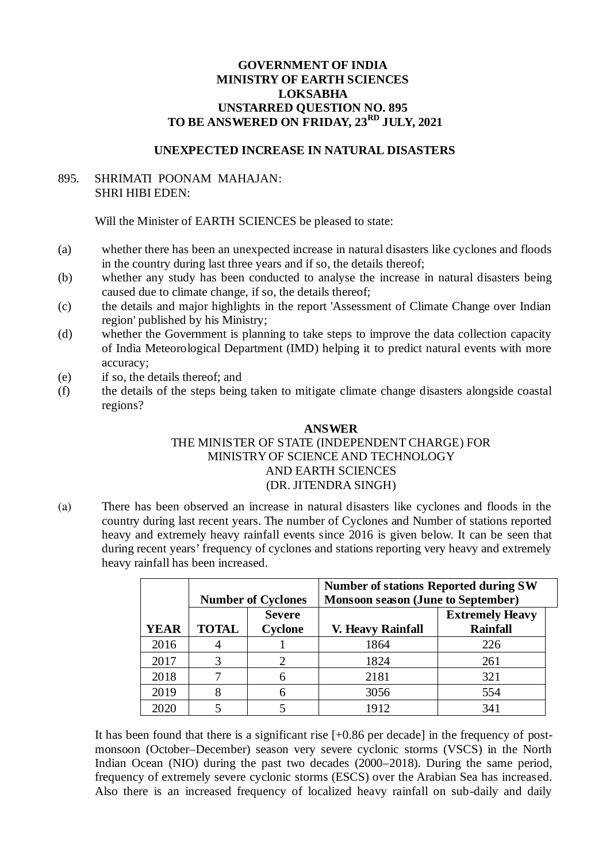## **GOVERNMENT OF INDIA MINISTRY OF EARTH SCIENCES LOKSABHA UNSTARRED QUESTION NO. 895 TO BE ANSWERED ON FRIDAY, 23RD JULY, 2021**

## **UNEXPECTED INCREASE IN NATURAL DISASTERS**

## 895. SHRIMATI POONAM MAHAJAN: SHRI HIBI EDEN:

Will the Minister of EARTH SCIENCES be pleased to state:

- (a) whether there has been an unexpected increase in natural disasters like cyclones and floods in the country during last three years and if so, the details thereof;
- (b) whether any study has been conducted to analyse the increase in natural disasters being caused due to climate change, if so, the details thereof;
- (c) the details and major highlights in the report 'Assessment of Climate Change over Indian region' published by his Ministry;
- (d) whether the Government is planning to take steps to improve the data collection capacity of India Meteorological Department (IMD) helping it to predict natural events with more accuracy;
- (e) if so, the details thereof; and
- (f) the details of the steps being taken to mitigate climate change disasters alongside coastal regions?

## **ANSWER**  THE MINISTER OF STATE (INDEPENDENT CHARGE) FOR MINISTRY OF SCIENCE AND TECHNOLOGY AND EARTH SCIENCES (DR. JITENDRA SINGH)

(a) There has been observed an increase in natural disasters like cyclones and floods in the country during last recent years. The number of Cyclones and Number of stations reported heavy and extremely heavy rainfall events since 2016 is given below. It can be seen that during recent years' frequency of cyclones and stations reporting very heavy and extremely heavy rainfall has been increased.

|             | <b>Number of Cyclones</b> |               | <b>Number of stations Reported during SW</b><br><b>Monsoon season (June to September)</b> |                        |
|-------------|---------------------------|---------------|-------------------------------------------------------------------------------------------|------------------------|
|             |                           | <b>Severe</b> |                                                                                           | <b>Extremely Heavy</b> |
| <b>YEAR</b> | <b>TOTAL</b>              | Cyclone       | <b>V. Heavy Rainfall</b>                                                                  | <b>Rainfall</b>        |
| 2016        |                           |               | 1864                                                                                      | 226                    |
| 2017        | З                         |               | 1824                                                                                      | 261                    |
| 2018        | 7                         |               | 2181                                                                                      | 321                    |
| 2019        |                           |               | 3056                                                                                      | 554                    |
| 2020        |                           |               | 1912                                                                                      | 341                    |

It has been found that there is a significant rise [+0.86 per decade] in the frequency of postmonsoon (October–December) season very severe cyclonic storms (VSCS) in the North Indian Ocean (NIO) during the past two decades (2000–2018). During the same period, frequency of extremely severe cyclonic storms (ESCS) over the Arabian Sea has increased. Also there is an increased frequency of localized heavy rainfall on sub-daily and daily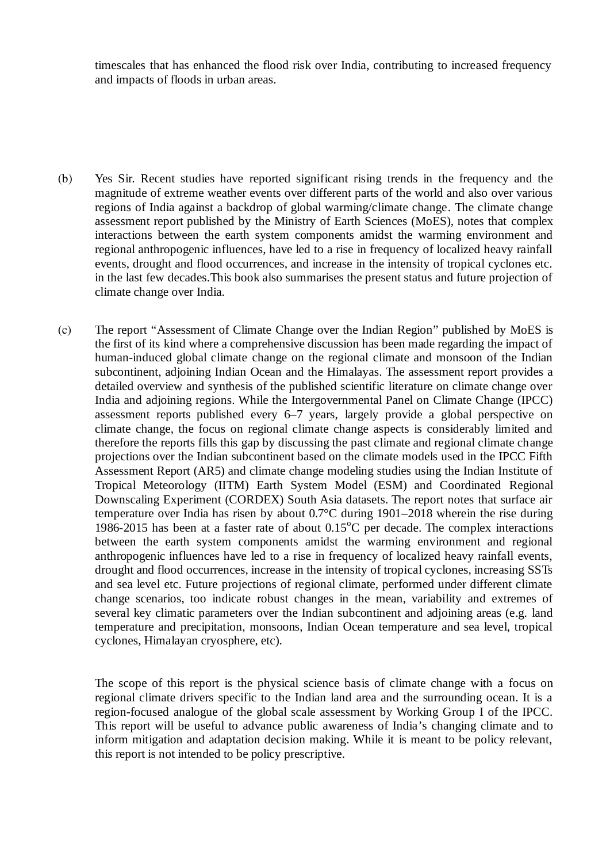timescales that has enhanced the flood risk over India, contributing to increased frequency and impacts of floods in urban areas.

- (b) Yes Sir. Recent studies have reported significant rising trends in the frequency and the magnitude of extreme weather events over different parts of the world and also over various regions of India against a backdrop of global warming/climate change. The climate change assessment report published by the Ministry of Earth Sciences (MoES), notes that complex interactions between the earth system components amidst the warming environment and regional anthropogenic influences, have led to a rise in frequency of localized heavy rainfall events, drought and flood occurrences, and increase in the intensity of tropical cyclones etc. in the last few decades.This book also summarises the present status and future projection of climate change over India.
- (c) The report "Assessment of Climate Change over the Indian Region" published by MoES is the first of its kind where a comprehensive discussion has been made regarding the impact of human-induced global climate change on the regional climate and monsoon of the Indian subcontinent, adjoining Indian Ocean and the Himalayas. The assessment report provides a detailed overview and synthesis of the published scientific literature on climate change over India and adjoining regions. While the Intergovernmental Panel on Climate Change (IPCC) assessment reports published every 6–7 years, largely provide a global perspective on climate change, the focus on regional climate change aspects is considerably limited and therefore the reports fills this gap by discussing the past climate and regional climate change projections over the Indian subcontinent based on the climate models used in the IPCC Fifth Assessment Report (AR5) and climate change modeling studies using the Indian Institute of Tropical Meteorology (IITM) Earth System Model (ESM) and Coordinated Regional Downscaling Experiment (CORDEX) South Asia datasets. The report notes that surface air temperature over India has risen by about 0.7°C during 1901–2018 wherein the rise during 1986-2015 has been at a faster rate of about  $0.15^{\circ}$ C per decade. The complex interactions between the earth system components amidst the warming environment and regional anthropogenic influences have led to a rise in frequency of localized heavy rainfall events, drought and flood occurrences, increase in the intensity of tropical cyclones, increasing SSTs and sea level etc. Future projections of regional climate, performed under different climate change scenarios, too indicate robust changes in the mean, variability and extremes of several key climatic parameters over the Indian subcontinent and adjoining areas (e.g. land temperature and precipitation, monsoons, Indian Ocean temperature and sea level, tropical cyclones, Himalayan cryosphere, etc).

The scope of this report is the physical science basis of climate change with a focus on regional climate drivers specific to the Indian land area and the surrounding ocean. It is a region-focused analogue of the global scale assessment by Working Group I of the IPCC. This report will be useful to advance public awareness of India's changing climate and to inform mitigation and adaptation decision making. While it is meant to be policy relevant, this report is not intended to be policy prescriptive.